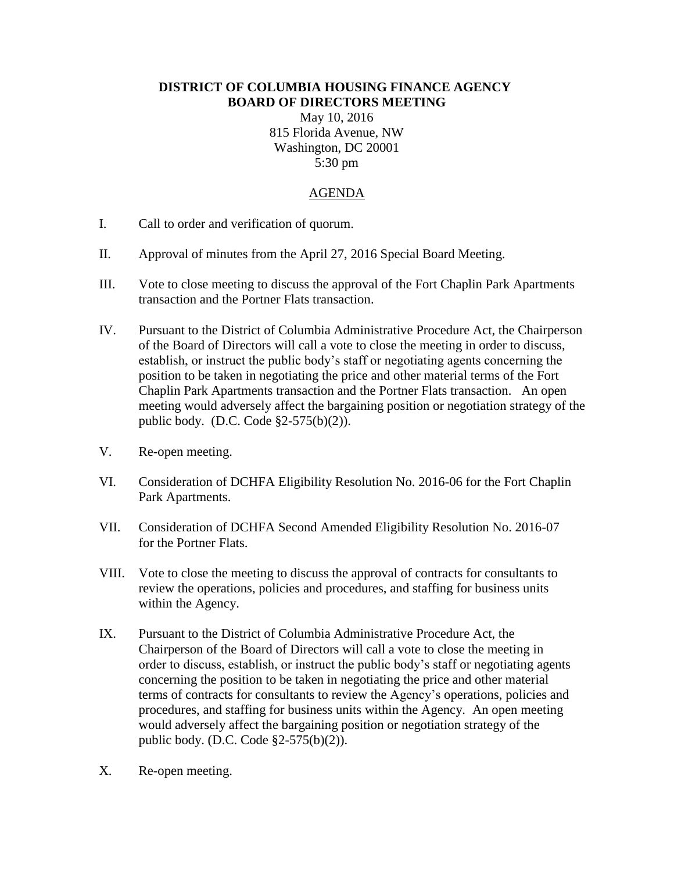## **DISTRICT OF COLUMBIA HOUSING FINANCE AGENCY BOARD OF DIRECTORS MEETING**

May 10, 2016 815 Florida Avenue, NW Washington, DC 20001 5:30 pm

## AGENDA

- I. Call to order and verification of quorum.
- II. Approval of minutes from the April 27, 2016 Special Board Meeting.
- III. Vote to close meeting to discuss the approval of the Fort Chaplin Park Apartments transaction and the Portner Flats transaction.
- IV. Pursuant to the District of Columbia Administrative Procedure Act, the Chairperson of the Board of Directors will call a vote to close the meeting in order to discuss, establish, or instruct the public body's staff or negotiating agents concerning the position to be taken in negotiating the price and other material terms of the Fort Chaplin Park Apartments transaction and the Portner Flats transaction. An open meeting would adversely affect the bargaining position or negotiation strategy of the public body. (D.C. Code §2-575(b)(2)).
- V. Re-open meeting.
- VI. Consideration of DCHFA Eligibility Resolution No. 2016-06 for the Fort Chaplin Park Apartments.
- VII. Consideration of DCHFA Second Amended Eligibility Resolution No. 2016-07 for the Portner Flats.
- VIII. Vote to close the meeting to discuss the approval of contracts for consultants to review the operations, policies and procedures, and staffing for business units within the Agency.
- IX. Pursuant to the District of Columbia Administrative Procedure Act, the Chairperson of the Board of Directors will call a vote to close the meeting in order to discuss, establish, or instruct the public body's staff or negotiating agents concerning the position to be taken in negotiating the price and other material terms of contracts for consultants to review the Agency's operations, policies and procedures, and staffing for business units within the Agency. An open meeting would adversely affect the bargaining position or negotiation strategy of the public body. (D.C. Code §2-575(b)(2)).
- X. Re-open meeting.